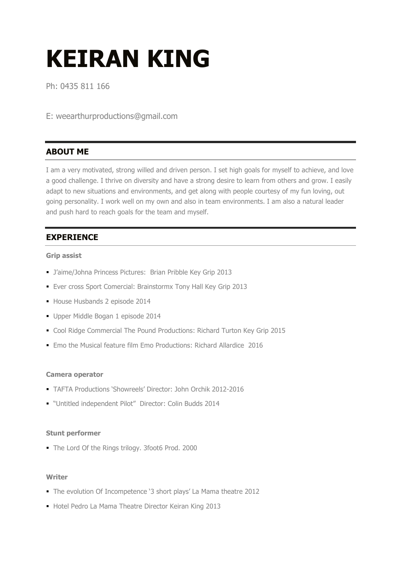# KEIRAN KING

Ph: 0435 811 166

E: weearthurproductions@gmail.com

# ABOUT ME

I am a very motivated, strong willed and driven person. I set high goals for myself to achieve, and love a good challenge. I thrive on diversity and have a strong desire to learn from others and grow. I easily adapt to new situations and environments, and get along with people courtesy of my fun loving, out going personality. I work well on my own and also in team environments. I am also a natural leader and push hard to reach goals for the team and myself.

# **EXPERIENCE**

#### Grip assist

- J'aime/Johna Princess Pictures: Brian Pribble Key Grip 2013
- Ever cross Sport Comercial: Brainstormx Tony Hall Key Grip 2013
- House Husbands 2 episode 2014
- Upper Middle Bogan 1 episode 2014
- Cool Ridge Commercial The Pound Productions: Richard Turton Key Grip 2015
- Emo the Musical feature film Emo Productions: Richard Allardice 2016

#### Camera operator

- TAFTA Productions 'Showreels' Director: John Orchik 2012-2016
- "Untitled independent Pilot" Director: Colin Budds 2014

#### Stunt performer

■ The Lord Of the Rings trilogy. 3foot6 Prod. 2000

#### Writer

- The evolution Of Incompetence '3 short plays' La Mama theatre 2012
- Hotel Pedro La Mama Theatre Director Keiran King 2013